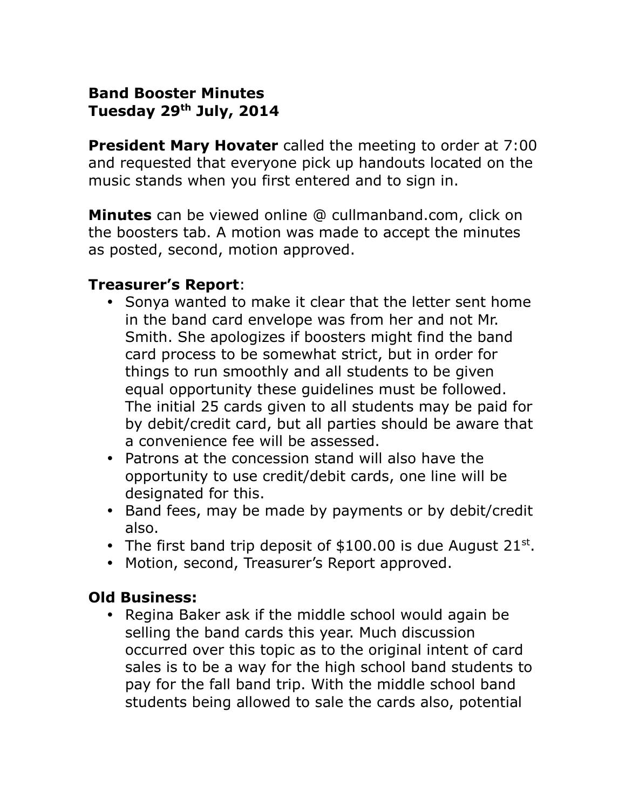### **Band Booster Minutes Tuesday 29th July, 2014**

**President Mary Hovater** called the meeting to order at 7:00 and requested that everyone pick up handouts located on the music stands when you first entered and to sign in.

**Minutes** can be viewed online @ cullmanband.com, click on the boosters tab. A motion was made to accept the minutes as posted, second, motion approved.

#### **Treasurer's Report**:

- Sonya wanted to make it clear that the letter sent home in the band card envelope was from her and not Mr. Smith. She apologizes if boosters might find the band card process to be somewhat strict, but in order for things to run smoothly and all students to be given equal opportunity these guidelines must be followed. The initial 25 cards given to all students may be paid for by debit/credit card, but all parties should be aware that a convenience fee will be assessed.
- Patrons at the concession stand will also have the opportunity to use credit/debit cards, one line will be designated for this.
- Band fees, may be made by payments or by debit/credit also.
- The first band trip deposit of  $$100.00$  is due August 21st.
- Motion, second, Treasurer's Report approved.

### **Old Business:**

• Regina Baker ask if the middle school would again be selling the band cards this year. Much discussion occurred over this topic as to the original intent of card sales is to be a way for the high school band students to pay for the fall band trip. With the middle school band students being allowed to sale the cards also, potential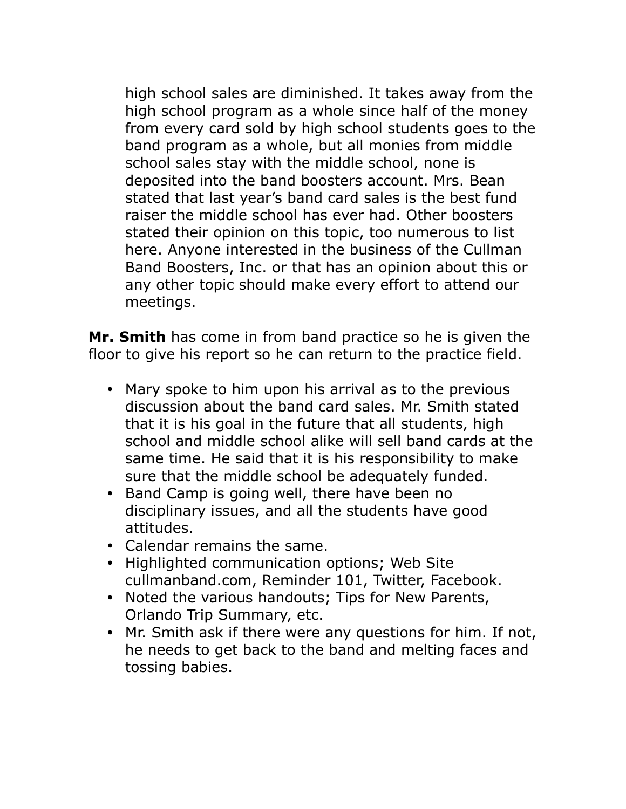high school sales are diminished. It takes away from the high school program as a whole since half of the money from every card sold by high school students goes to the band program as a whole, but all monies from middle school sales stay with the middle school, none is deposited into the band boosters account. Mrs. Bean stated that last year's band card sales is the best fund raiser the middle school has ever had. Other boosters stated their opinion on this topic, too numerous to list here. Anyone interested in the business of the Cullman Band Boosters, Inc. or that has an opinion about this or any other topic should make every effort to attend our meetings.

**Mr. Smith** has come in from band practice so he is given the floor to give his report so he can return to the practice field.

- Mary spoke to him upon his arrival as to the previous discussion about the band card sales. Mr. Smith stated that it is his goal in the future that all students, high school and middle school alike will sell band cards at the same time. He said that it is his responsibility to make sure that the middle school be adequately funded.
- Band Camp is going well, there have been no disciplinary issues, and all the students have good attitudes.
- Calendar remains the same.
- Highlighted communication options; Web Site cullmanband.com, Reminder 101, Twitter, Facebook.
- Noted the various handouts; Tips for New Parents, Orlando Trip Summary, etc.
- Mr. Smith ask if there were any questions for him. If not, he needs to get back to the band and melting faces and tossing babies.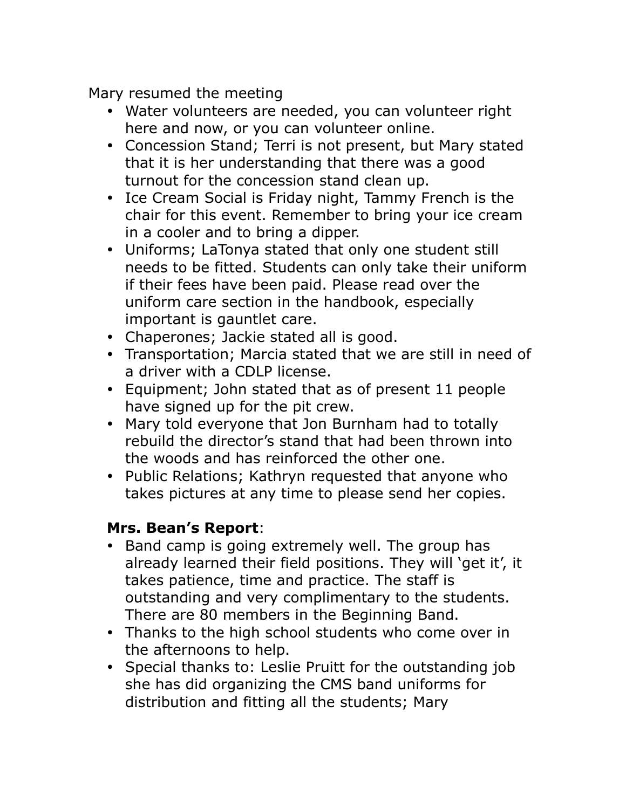Mary resumed the meeting

- Water volunteers are needed, you can volunteer right here and now, or you can volunteer online.
- Concession Stand; Terri is not present, but Mary stated that it is her understanding that there was a good turnout for the concession stand clean up.
- Ice Cream Social is Friday night, Tammy French is the chair for this event. Remember to bring your ice cream in a cooler and to bring a dipper.
- Uniforms; LaTonya stated that only one student still needs to be fitted. Students can only take their uniform if their fees have been paid. Please read over the uniform care section in the handbook, especially important is gauntlet care.
- Chaperones; Jackie stated all is good.
- Transportation; Marcia stated that we are still in need of a driver with a CDLP license.
- Equipment; John stated that as of present 11 people have signed up for the pit crew.
- Mary told everyone that Jon Burnham had to totally rebuild the director's stand that had been thrown into the woods and has reinforced the other one.
- Public Relations; Kathryn requested that anyone who takes pictures at any time to please send her copies.

# **Mrs. Bean's Report**:

- Band camp is going extremely well. The group has already learned their field positions. They will 'get it', it takes patience, time and practice. The staff is outstanding and very complimentary to the students. There are 80 members in the Beginning Band.
- Thanks to the high school students who come over in the afternoons to help.
- Special thanks to: Leslie Pruitt for the outstanding job she has did organizing the CMS band uniforms for distribution and fitting all the students; Mary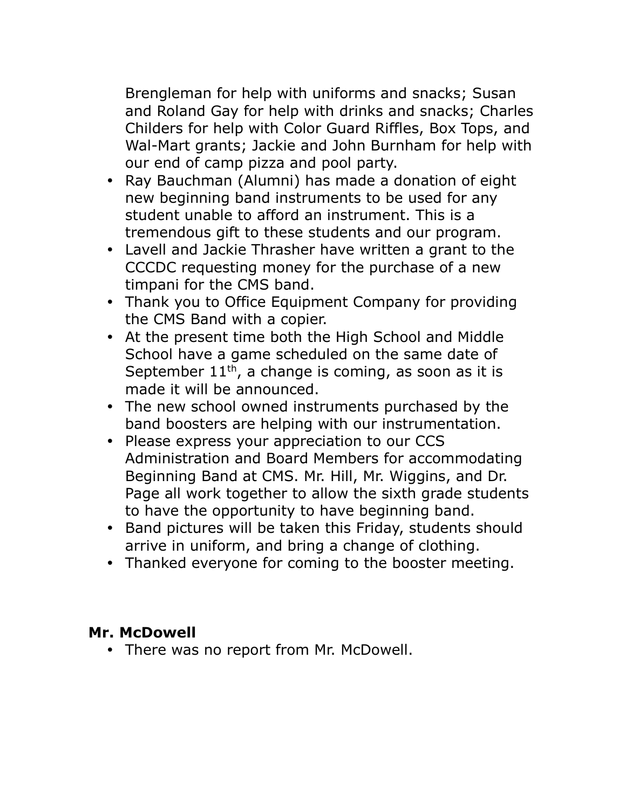Brengleman for help with uniforms and snacks; Susan and Roland Gay for help with drinks and snacks; Charles Childers for help with Color Guard Riffles, Box Tops, and Wal-Mart grants; Jackie and John Burnham for help with our end of camp pizza and pool party.

- Ray Bauchman (Alumni) has made a donation of eight new beginning band instruments to be used for any student unable to afford an instrument. This is a tremendous gift to these students and our program.
- Lavell and Jackie Thrasher have written a grant to the CCCDC requesting money for the purchase of a new timpani for the CMS band.
- Thank you to Office Equipment Company for providing the CMS Band with a copier.
- At the present time both the High School and Middle School have a game scheduled on the same date of September  $11<sup>th</sup>$ , a change is coming, as soon as it is made it will be announced.
- The new school owned instruments purchased by the band boosters are helping with our instrumentation.
- Please express your appreciation to our CCS Administration and Board Members for accommodating Beginning Band at CMS. Mr. Hill, Mr. Wiggins, and Dr. Page all work together to allow the sixth grade students to have the opportunity to have beginning band.
- Band pictures will be taken this Friday, students should arrive in uniform, and bring a change of clothing.
- Thanked everyone for coming to the booster meeting.

# **Mr. McDowell**

• There was no report from Mr. McDowell.